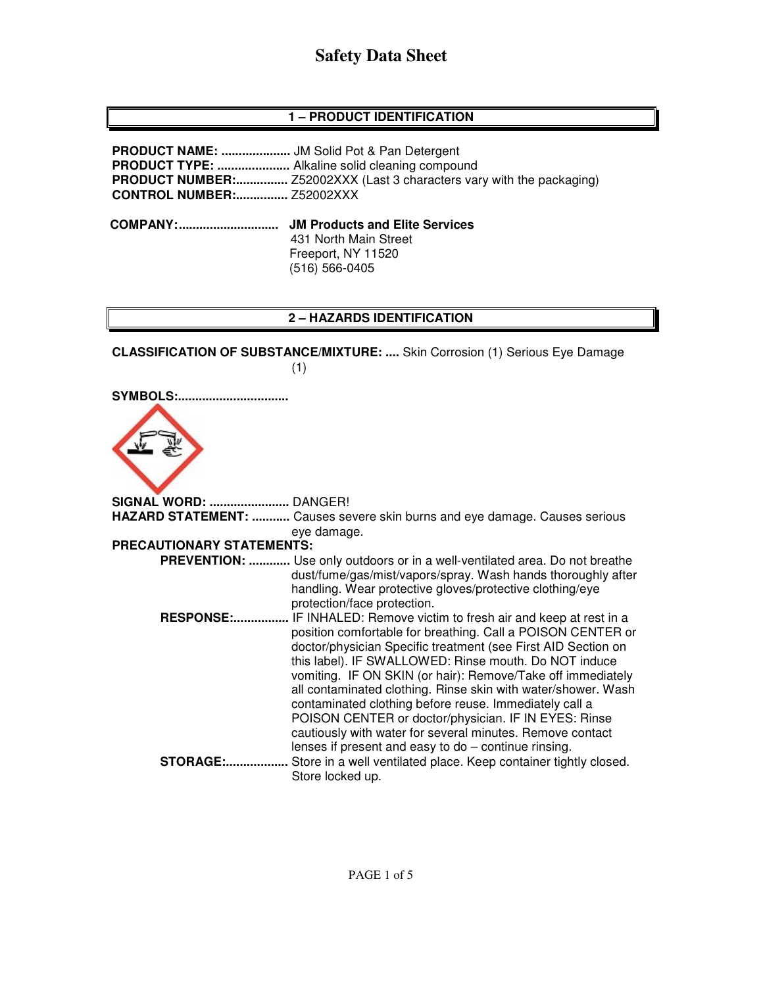## **1 – PRODUCT IDENTIFICATION**

**PRODUCT NAME: ....................** JM Solid Pot & Pan Detergent **PRODUCT TYPE: .....................** Alkaline solid cleaning compound **PRODUCT NUMBER:...............** Z52002XXX (Last 3 characters vary with the packaging) **CONTROL NUMBER:...............** Z52002XXX  **COMPANY: ............................. JM Products and Elite Services** 431 North Main Street Freeport, NY 11520

(516) 566-0405

# **2 – HAZARDS IDENTIFICATION**

**CLASSIFICATION OF SUBSTANCE/MIXTURE: ....** Skin Corrosion (1) Serious Eye Damage (1)

**SYMBOLS:................................** 



**SIGNAL WORD: .......................** DANGER! **HAZARD STATEMENT: ...........** Causes severe skin burns and eye damage. Causes serious eye damage. **PRECAUTIONARY STATEMENTS: PREVENTION: ............** Use only outdoors or in a well-ventilated area. Do not breathe dust/fume/gas/mist/vapors/spray. Wash hands thoroughly after handling. Wear protective gloves/protective clothing/eye protection/face protection. **RESPONSE:................** IF INHALED: Remove victim to fresh air and keep at rest in a position comfortable for breathing. Call a POISON CENTER or doctor/physician Specific treatment (see First AID Section on this label). IF SWALLOWED: Rinse mouth. Do NOT induce vomiting. IF ON SKIN (or hair): Remove/Take off immediately all contaminated clothing. Rinse skin with water/shower. Wash contaminated clothing before reuse. Immediately call a POISON CENTER or doctor/physician. IF IN EYES: Rinse cautiously with water for several minutes. Remove contact lenses if present and easy to do – continue rinsing. **STORAGE:..................** Store in a well ventilated place. Keep container tightly closed. Store locked up.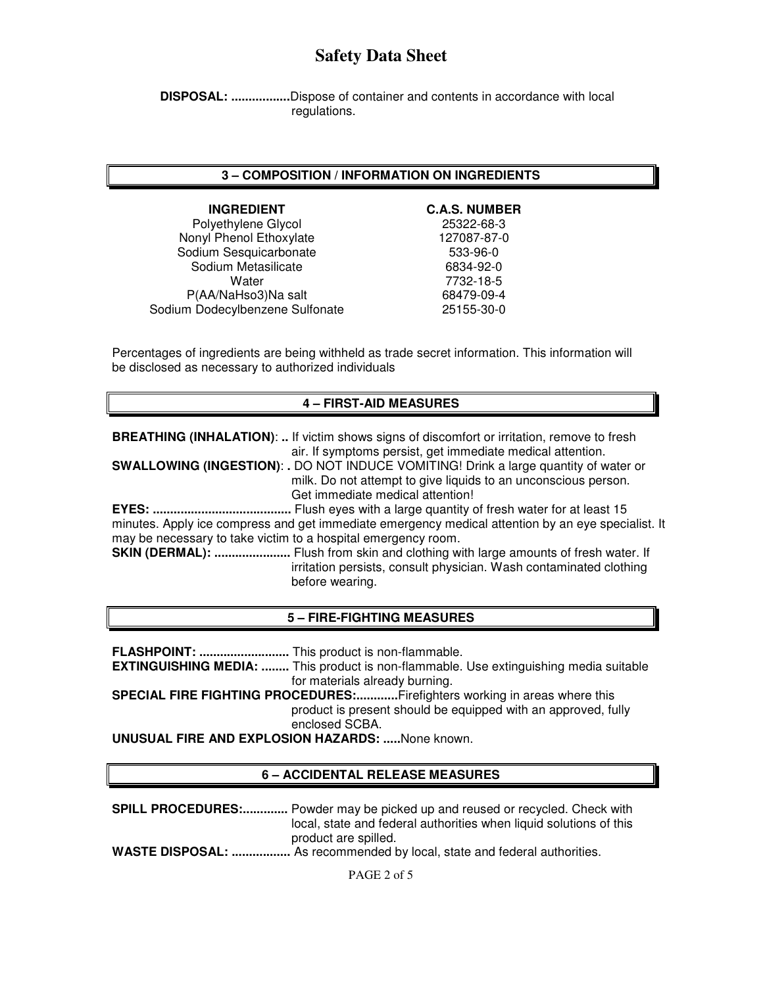**DISPOSAL: .................**Dispose of container and contents in accordance with local regulations.

### **3 – COMPOSITION / INFORMATION ON INGREDIENTS**

**INGREDIENT C.A.S. NUMBER** Polyethylene Glycol 25322-68-3 Nonyl Phenol Ethoxylate 127087-87-0 Sodium Sesquicarbonate 633-96-0<br>Sodium Metasilicate 6834-92-0 Sodium Metasilicate<br>Water P(AA/NaHso3)Na salt 68479-09-4 Sodium Dodecylbenzene Sulfonate 25155-30-0

7732-18-5

Percentages of ingredients are being withheld as trade secret information. This information will be disclosed as necessary to authorized individuals

### **4 – FIRST-AID MEASURES**

**BREATHING (INHALATION)**: **..** If victim shows signs of discomfort or irritation, remove to fresh air. If symptoms persist, get immediate medical attention.

**SWALLOWING (INGESTION)**: **.** DO NOT INDUCE VOMITING! Drink a large quantity of water or milk. Do not attempt to give liquids to an unconscious person. Get immediate medical attention!

**EYES: ........................................** Flush eyes with a large quantity of fresh water for at least 15 minutes. Apply ice compress and get immediate emergency medical attention by an eye specialist. It may be necessary to take victim to a hospital emergency room.

**SKIN (DERMAL): ......................** Flush from skin and clothing with large amounts of fresh water. If irritation persists, consult physician. Wash contaminated clothing before wearing.

#### **5 – FIRE-FIGHTING MEASURES**

**FLASHPOINT: ..........................** This product is non-flammable. **EXTINGUISHING MEDIA: ........** This product is non-flammable. Use extinguishing media suitable for materials already burning. **SPECIAL FIRE FIGHTING PROCEDURES:............**Firefighters working in areas where this product is present should be equipped with an approved, fully enclosed SCBA.

**UNUSUAL FIRE AND EXPLOSION HAZARDS: .....**None known.

## **6 – ACCIDENTAL RELEASE MEASURES**

**SPILL PROCEDURES:.............** Powder may be picked up and reused or recycled. Check with local, state and federal authorities when liquid solutions of this product are spilled.

**WASTE DISPOSAL: .................** As recommended by local, state and federal authorities.

PAGE 2 of 5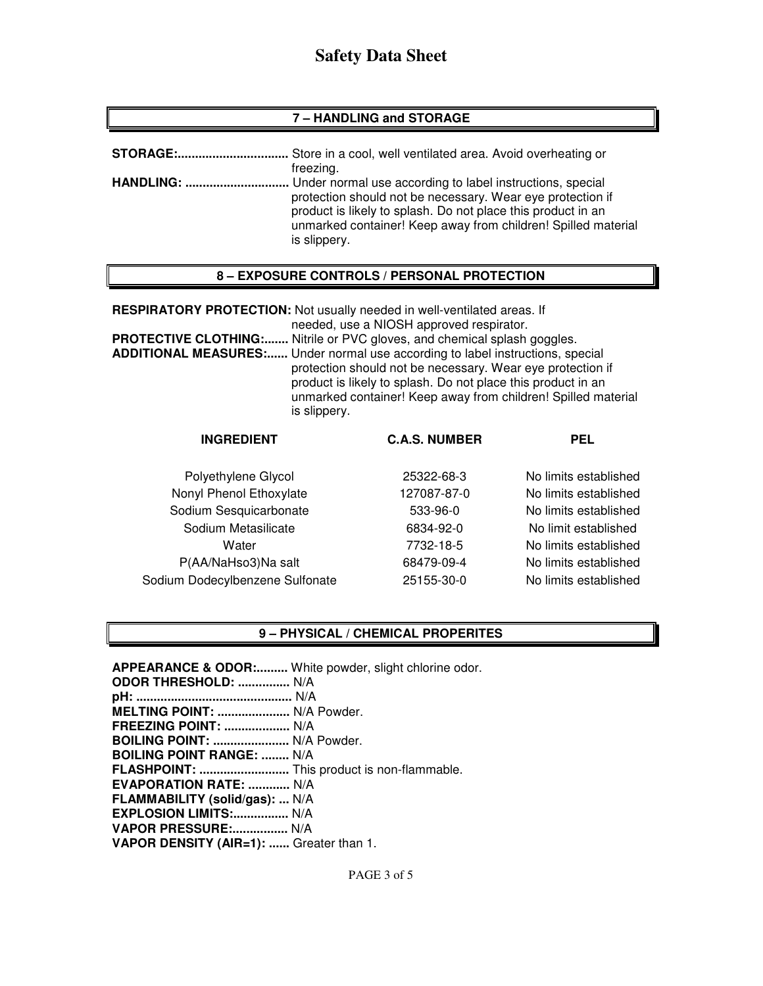## **7 – HANDLING and STORAGE**

| <b>STORAGE:</b>   | Store in a cool, well ventilated area. Avoid overheating or                                                                                                                                                 |
|-------------------|-------------------------------------------------------------------------------------------------------------------------------------------------------------------------------------------------------------|
| <b>HANDLING: </b> | freezing.<br>. Under normal use according to label instructions, special                                                                                                                                    |
|                   | protection should not be necessary. Wear eye protection if<br>product is likely to splash. Do not place this product in an<br>unmarked container! Keep away from children! Spilled material<br>is slippery. |

## **8 – EXPOSURE CONTROLS / PERSONAL PROTECTION**

**RESPIRATORY PROTECTION:** Not usually needed in well-ventilated areas. If needed, use a NIOSH approved respirator.

**PROTECTIVE CLOTHING:.......** Nitrile or PVC gloves, and chemical splash goggles. **ADDITIONAL MEASURES:......** Under normal use according to label instructions, special protection should not be necessary. Wear eye protection if product is likely to splash. Do not place this product in an unmarked container! Keep away from children! Spilled material is slippery.

| <b>INGREDIENT</b>               | <b>C.A.S. NUMBER</b> | <b>PEL</b>            |
|---------------------------------|----------------------|-----------------------|
| Polyethylene Glycol             | 25322-68-3           | No limits established |
| Nonyl Phenol Ethoxylate         | 127087-87-0          | No limits established |
| Sodium Sesquicarbonate          | 533-96-0             | No limits established |
| Sodium Metasilicate             | 6834-92-0            | No limit established  |
| Water                           | 7732-18-5            | No limits established |
| P(AA/NaHso3)Na salt             | 68479-09-4           | No limits established |
| Sodium Dodecylbenzene Sulfonate | 25155-30-0           | No limits established |
|                                 |                      |                       |

## **9 – PHYSICAL / CHEMICAL PROPERITES**

**APPEARANCE & ODOR:.........** White powder, slight chlorine odor. **ODOR THRESHOLD: ...............** N/A **pH: .............................................** N/A **MELTING POINT: .....................** N/A Powder. **FREEZING POINT: ...................** N/A **BOILING POINT: ......................** N/A Powder. **BOILING POINT RANGE: ........** N/A **FLASHPOINT: ..........................** This product is non-flammable. **EVAPORATION RATE: ............** N/A **FLAMMABILITY (solid/gas): ...** N/A **EXPLOSION LIMITS:................** N/A **VAPOR PRESSURE:................** N/A **VAPOR DENSITY (AIR=1): ......** Greater than 1.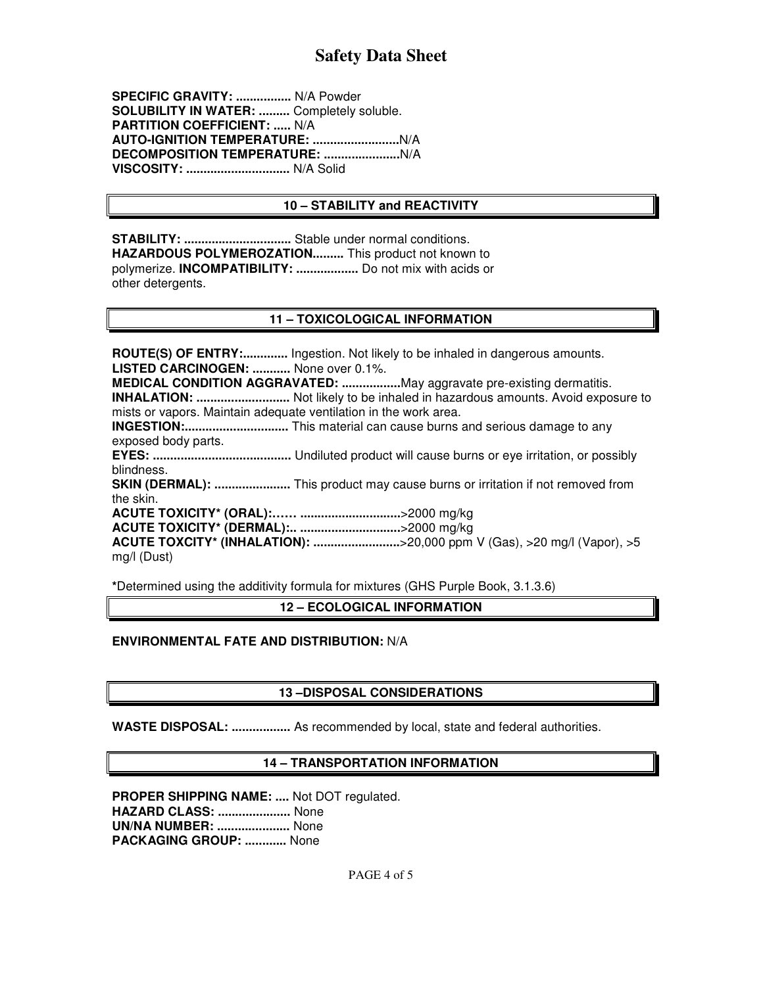**SPECIFIC GRAVITY: ................** N/A Powder **SOLUBILITY IN WATER: .........** Completely soluble. **PARTITION COEFFICIENT: .....** N/A **AUTO-IGNITION TEMPERATURE: .........................**N/A **DECOMPOSITION TEMPERATURE: ......................**N/A **VISCOSITY: ..............................** N/A Solid

## **10 – STABILITY and REACTIVITY**

**STABILITY: ...............................** Stable under normal conditions. **HAZARDOUS POLYMEROZATION.........** This product not known to polymerize. **INCOMPATIBILITY: ..................** Do not mix with acids or other detergents.

### **11 – TOXICOLOGICAL INFORMATION**

**ROUTE(S) OF ENTRY:.............** Ingestion. Not likely to be inhaled in dangerous amounts. **LISTED CARCINOGEN: ...........** None over 0.1%.

**MEDICAL CONDITION AGGRAVATED: .................**May aggravate pre-existing dermatitis. **INHALATION: ...........................** Not likely to be inhaled in hazardous amounts. Avoid exposure to mists or vapors. Maintain adequate ventilation in the work area.

**INGESTION:..............................** This material can cause burns and serious damage to any exposed body parts.

**EYES: ........................................** Undiluted product will cause burns or eye irritation, or possibly blindness.

**SKIN (DERMAL): ......................** This product may cause burns or irritation if not removed from the skin.

**ACUTE TOXICITY\* (ORAL):…… .............................**>2000 mg/kg

**ACUTE TOXICITY\* (DERMAL):.. .............................**>2000 mg/kg

**ACUTE TOXCITY\* (INHALATION): .........................**>20,000 ppm V (Gas), >20 mg/l (Vapor), >5 mg/l (Dust)

**\***Determined using the additivity formula for mixtures (GHS Purple Book, 3.1.3.6)

**12 – ECOLOGICAL INFORMATION** 

## **ENVIRONMENTAL FATE AND DISTRIBUTION:** N/A

## **13 –DISPOSAL CONSIDERATIONS**

**WASTE DISPOSAL: .................** As recommended by local, state and federal authorities.

## **14 – TRANSPORTATION INFORMATION**

**PROPER SHIPPING NAME: ....** Not DOT regulated. **HAZARD CLASS: .....................** None **UN/NA NUMBER: .....................** None **PACKAGING GROUP: ............** None